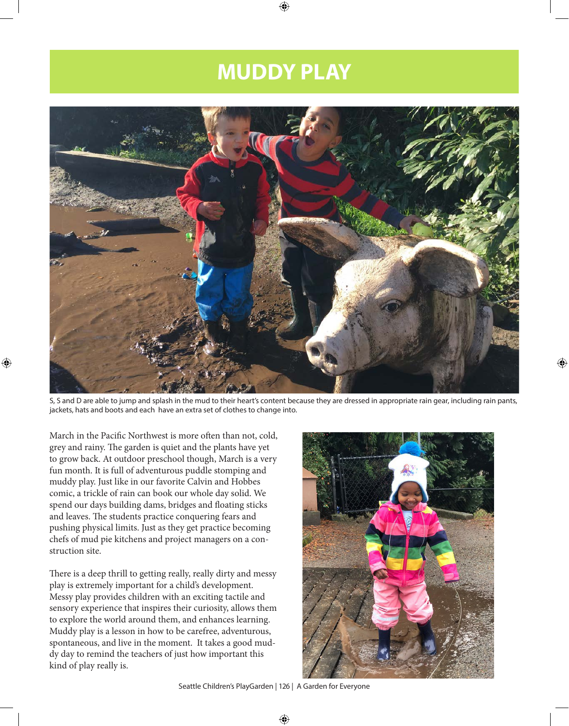# **MUDDY PLAY**



S, S and D are able to jump and splash in the mud to their heart's content because they are dressed in appropriate rain gear, including rain pants, jackets, hats and boots and each have an extra set of clothes to change into.

March in the Pacific Northwest is more often than not, cold, grey and rainy. The garden is quiet and the plants have yet to grow back. At outdoor preschool though, March is a very fun month. It is full of adventurous puddle stomping and muddy play. Just like in our favorite Calvin and Hobbes comic, a trickle of rain can book our whole day solid. We spend our days building dams, bridges and floating sticks and leaves. The students practice conquering fears and pushing physical limits. Just as they get practice becoming chefs of mud pie kitchens and project managers on a construction site.

There is a deep thrill to getting really, really dirty and messy play is extremely important for a child's development. Messy play provides children with an exciting tactile and sensory experience that inspires their curiosity, allows them to explore the world around them, and enhances learning. Muddy play is a lesson in how to be carefree, adventurous, spontaneous, and live in the moment. It takes a good muddy day to remind the teachers of just how important this kind of play really is.

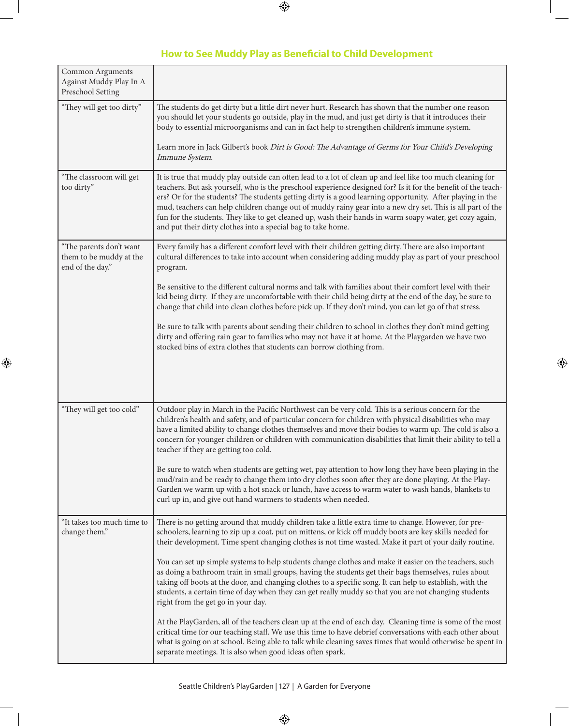# **How to See Muddy Play as Beneficial to Child Development**

| Common Arguments<br>Against Muddy Play In A<br>Preschool Setting       |                                                                                                                                                                                                                                                                                                                                                                                                                                                                                                                                                                                                                                    |
|------------------------------------------------------------------------|------------------------------------------------------------------------------------------------------------------------------------------------------------------------------------------------------------------------------------------------------------------------------------------------------------------------------------------------------------------------------------------------------------------------------------------------------------------------------------------------------------------------------------------------------------------------------------------------------------------------------------|
| "They will get too dirty"                                              | The students do get dirty but a little dirt never hurt. Research has shown that the number one reason<br>you should let your students go outside, play in the mud, and just get dirty is that it introduces their<br>body to essential microorganisms and can in fact help to strengthen children's immune system.                                                                                                                                                                                                                                                                                                                 |
|                                                                        | Learn more in Jack Gilbert's book Dirt is Good: The Advantage of Germs for Your Child's Developing<br>Immune System.                                                                                                                                                                                                                                                                                                                                                                                                                                                                                                               |
| "The classroom will get<br>too dirty"                                  | It is true that muddy play outside can often lead to a lot of clean up and feel like too much cleaning for<br>teachers. But ask yourself, who is the preschool experience designed for? Is it for the benefit of the teach-<br>ers? Or for the students? The students getting dirty is a good learning opportunity. After playing in the<br>mud, teachers can help children change out of muddy rainy gear into a new dry set. This is all part of the<br>fun for the students. They like to get cleaned up, wash their hands in warm soapy water, get cozy again,<br>and put their dirty clothes into a special bag to take home. |
| "The parents don't want<br>them to be muddy at the<br>end of the day." | Every family has a different comfort level with their children getting dirty. There are also important<br>cultural differences to take into account when considering adding muddy play as part of your preschool<br>program.                                                                                                                                                                                                                                                                                                                                                                                                       |
|                                                                        | Be sensitive to the different cultural norms and talk with families about their comfort level with their<br>kid being dirty. If they are uncomfortable with their child being dirty at the end of the day, be sure to<br>change that child into clean clothes before pick up. If they don't mind, you can let go of that stress.                                                                                                                                                                                                                                                                                                   |
|                                                                        | Be sure to talk with parents about sending their children to school in clothes they don't mind getting<br>dirty and offering rain gear to families who may not have it at home. At the Playgarden we have two<br>stocked bins of extra clothes that students can borrow clothing from.                                                                                                                                                                                                                                                                                                                                             |
|                                                                        |                                                                                                                                                                                                                                                                                                                                                                                                                                                                                                                                                                                                                                    |
| "They will get too cold"                                               | Outdoor play in March in the Pacific Northwest can be very cold. This is a serious concern for the<br>children's health and safety, and of particular concern for children with physical disabilities who may<br>have a limited ability to change clothes themselves and move their bodies to warm up. The cold is also a<br>concern for younger children or children with communication disabilities that limit their ability to tell a<br>teacher if they are getting too cold.                                                                                                                                                  |
|                                                                        | Be sure to watch when students are getting wet, pay attention to how long they have been playing in the<br>mud/rain and be ready to change them into dry clothes soon after they are done playing. At the Play-<br>Garden we warm up with a hot snack or lunch, have access to warm water to wash hands, blankets to<br>curl up in, and give out hand warmers to students when needed.                                                                                                                                                                                                                                             |
| "It takes too much time to<br>change them."                            | There is no getting around that muddy children take a little extra time to change. However, for pre-<br>schoolers, learning to zip up a coat, put on mittens, or kick off muddy boots are key skills needed for<br>their development. Time spent changing clothes is not time wasted. Make it part of your daily routine.                                                                                                                                                                                                                                                                                                          |
|                                                                        | You can set up simple systems to help students change clothes and make it easier on the teachers, such<br>as doing a bathroom train in small groups, having the students get their bags themselves, rules about<br>taking off boots at the door, and changing clothes to a specific song. It can help to establish, with the<br>students, a certain time of day when they can get really muddy so that you are not changing students<br>right from the get go in your day.                                                                                                                                                         |
|                                                                        | At the PlayGarden, all of the teachers clean up at the end of each day. Cleaning time is some of the most<br>critical time for our teaching staff. We use this time to have debrief conversations with each other about<br>what is going on at school. Being able to talk while cleaning saves times that would otherwise be spent in<br>separate meetings. It is also when good ideas often spark.                                                                                                                                                                                                                                |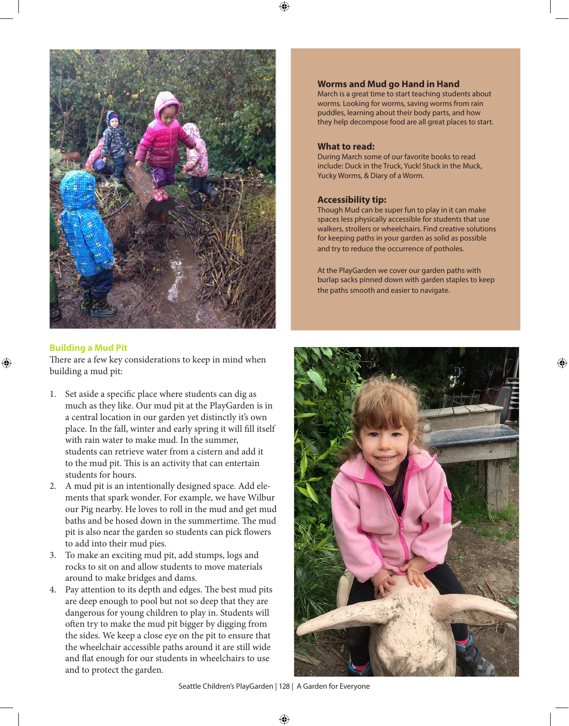

### **Building a Mud Pit**

There are a few key considerations to keep in mind when building a mud pit:

- 1. Set aside a specific place where students can dig as much as they like. Our mud pit at the PlayGarden is in a central location in our garden yet distinctly it's own place. In the fall, winter and early spring it will fill itself with rain water to make mud. In the summer, students can retrieve water from a cistern and add it to the mud pit. This is an activity that can entertain students for hours.
- 2. A mud pit is an intentionally designed space. Add elements that spark wonder. For example, we have Wilbur our Pig nearby. He loves to roll in the mud and get mud baths and be hosed down in the summertime. The mud pit is also near the garden so students can pick flowers to add into their mud pies.
- 3. To make an exciting mud pit, add stumps, logs and rocks to sit on and allow students to move materials around to make bridges and dams.
- 4. Pay attention to its depth and edges. The best mud pits are deep enough to pool but not so deep that they are dangerous for young children to play in. Students will often try to make the mud pit bigger by digging from the sides. We keep a close eye on the pit to ensure that the wheelchair accessible paths around it are still wide and flat enough for our students in wheelchairs to use and to protect the garden.

#### **Worms and Mud go Hand in Hand**

March is a great time to start teaching students about worms. Looking for worms, saving worms from rain puddles, learning about their body parts, and how they help decompose food are all great places to start.

#### **What to read:**

During March some of our favorite books to read include: Duck in the Truck, Yuck! Stuck in the Muck, Yucky Worms, & Diary of a Worm.

#### **Accessibility tip:**

Though Mud can be super fun to play in it can make spaces less physically accessible for students that use walkers, strollers or wheelchairs. Find creative solutions for keeping paths in your garden as solid as possible and try to reduce the occurrence of potholes.

At the PlayGarden we cover our garden paths with burlap sacks pinned down with garden staples to keep the paths smooth and easier to navigate.